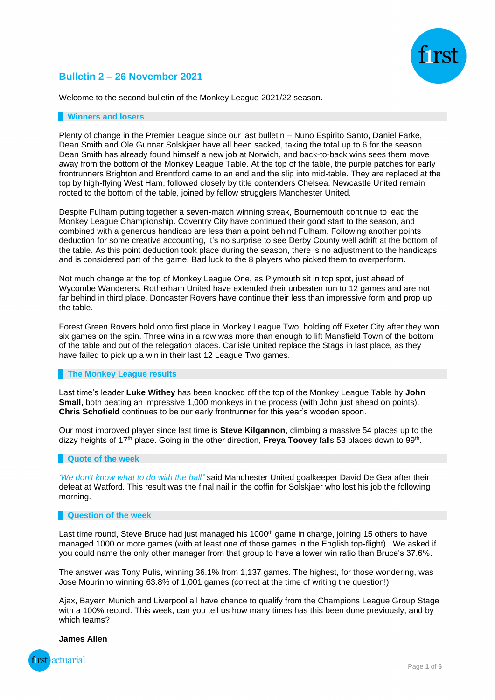# **Bulletin 2 – 26 November 2021**

Welcome to the second bulletin of the Monkey League 2021/22 season.

#### **Winners and losers**

Plenty of change in the Premier League since our last bulletin – Nuno Espirito Santo, Daniel Farke, Dean Smith and Ole Gunnar Solskjaer have all been sacked, taking the total up to 6 for the season. Dean Smith has already found himself a new job at Norwich, and back-to-back wins sees them move away from the bottom of the Monkey League Table. At the top of the table, the purple patches for early frontrunners Brighton and Brentford came to an end and the slip into mid-table. They are replaced at the top by high-flying West Ham, followed closely by title contenders Chelsea. Newcastle United remain rooted to the bottom of the table, joined by fellow strugglers Manchester United.

Despite Fulham putting together a seven-match winning streak, Bournemouth continue to lead the Monkey League Championship. Coventry City have continued their good start to the season, and combined with a generous handicap are less than a point behind Fulham. Following another points deduction for some creative accounting, it's no surprise to see Derby County well adrift at the bottom of the table. As this point deduction took place during the season, there is no adjustment to the handicaps and is considered part of the game. Bad luck to the 8 players who picked them to overperform.

Not much change at the top of Monkey League One, as Plymouth sit in top spot, just ahead of Wycombe Wanderers. Rotherham United have extended their unbeaten run to 12 games and are not far behind in third place. Doncaster Rovers have continue their less than impressive form and prop up the table.

Forest Green Rovers hold onto first place in Monkey League Two, holding off Exeter City after they won six games on the spin. Three wins in a row was more than enough to lift Mansfield Town of the bottom of the table and out of the relegation places. Carlisle United replace the Stags in last place, as they have failed to pick up a win in their last 12 League Two games.

#### **The Monkey League results**

Last time's leader **Luke Withey** has been knocked off the top of the Monkey League Table by **John Small**, both beating an impressive 1,000 monkeys in the process (with John just ahead on points). **Chris Schofield** continues to be our early frontrunner for this year's wooden spoon.

Our most improved player since last time is **Steve Kilgannon**, climbing a massive 54 places up to the dizzy heights of 17<sup>th</sup> place. Going in the other direction, **Freya Toovey** falls 53 places down to 99<sup>th</sup>.

#### **Quote of the week**

*'We don't know what to do with the ball"* said Manchester United goalkeeper David De Gea after their defeat at Watford. This result was the final nail in the coffin for Solskjaer who lost his job the following morning.

#### **Question of the week**

Last time round. Steve Bruce had just managed his 1000<sup>th</sup> game in charge, joining 15 others to have managed 1000 or more games (with at least one of those games in the English top-flight). We asked if you could name the only other manager from that group to have a lower win ratio than Bruce's 37.6%.

The answer was Tony Pulis, winning 36.1% from 1,137 games. The highest, for those wondering, was Jose Mourinho winning 63.8% of 1,001 games (correct at the time of writing the question!)

Ajax, Bayern Munich and Liverpool all have chance to qualify from the Champions League Group Stage with a 100% record. This week, can you tell us how many times has this been done previously, and by which teams?

#### **James Allen**

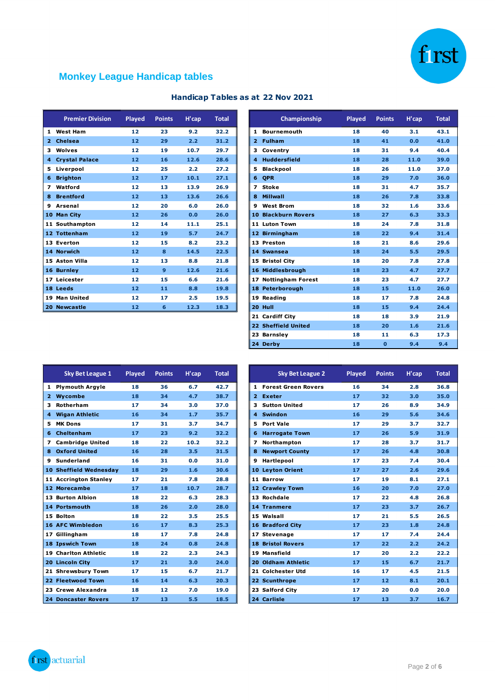

# **Monkey League Handicap tables**

|                | <b>Premier Division</b> | Played | <b>Points</b> | H'cap | <b>Total</b> |
|----------------|-------------------------|--------|---------------|-------|--------------|
| 1              | <b>West Ham</b>         | 12     | 23            | 9.2   | 32.2         |
| $\overline{2}$ | <b>Chelsea</b>          | 12     | 29            | 2.2   | 31.2         |
| 3              | Wolves                  | 12     | 19            | 10.7  | 29.7         |
| 4              | <b>Crystal Palace</b>   | 12     | 16            | 12.6  | 28.6         |
| 5              | Liverpool               | 12     | 25            | 2.2   | 27.2         |
| 6              | <b>Brighton</b>         | 12     | 17            | 10.1  | 27.1         |
| 7              | Watford                 | 12     | 13            | 13.9  | 26.9         |
| 8              | <b>Brentford</b>        | 12     | 13            | 13.6  | 26.6         |
| 9              | <b>Arsenal</b>          | 12     | 20            | 6.0   | 26.0         |
|                | 10 Man City             | 12     | 26            | 0.0   | 26.0         |
|                | 11 Southampton          | 12     | 14            | 11.1  | 25.1         |
|                | 12 Tottenham            | 12     | 19            | 5.7   | 24.7         |
|                | 13 Everton              | 12     | 15            | 8.2   | 23.2         |
|                | 14 Norwich              | 12     | $\mathbf{R}$  | 14.5  | 22.5         |
|                | 15 Aston Villa          | 12     | 13            | 8.8   | 21.8         |
|                | 16 Burnley              | 12     | $\mathbf{9}$  | 12.6  | 21.6         |
|                | 17 Leicester            | 12     | 15            | 6.6   | 21.6         |
|                | 18 Leeds                | 12     | 11            | 8.8   | 19.8         |
|                | 19 Man United           | 12     | 17            | 2.5   | 19.5         |
| 20             | <b>Newcastle</b>        | 12     | 6             | 12.3  | 18.3         |

### **Handicap Tables as at 22 Nov 2021**

| <b>Premier Division</b> | <b>Played</b>     | <b>Points</b> | H'cap | <b>Total</b> |
|-------------------------|-------------------|---------------|-------|--------------|
| 1 West Ham              | 12                | 23            | 9.2   | 32.2         |
| 2 Chelsea               | 12                | 29            | 2.2   | 31.2         |
| 3 Wolves                | 12                | 19            | 10.7  | 29.7         |
| 4 Crystal Palace        | 12 <sub>2</sub>   | 16            | 12.6  | 28.6         |
| 5 Liverpool             | 12                | 25            | 2.2   | 27.2         |
| 6 Brighton              | 12                | 17            | 10.1  | 27.1         |
| 7 Watford               | 12                | 13            | 13.9  | 26.9         |
| 8 Brentford             | 12                | 13            | 13.6  | 26.6         |
| 9 Arsenal               | 12                | 20            | 6.0   | 26.0         |
| 10 Man City             | 12                | 26            | 0.0   | 26.0         |
| 11 Southampton          | 12                | 14            | 11.1  | 25.1         |
| 12 Tottenham            | 12                | 19            | 5.7   | 24.7         |
| 13 Everton              | 12                | 15            | 8.2   | 23.2         |
| 14 Norwich              | 12                | 8             | 14.5  | 22.5         |
| 15 Aston Villa          | 12                | 13            | 8.8   | 21.8         |
| 16 Burnley              | $12 \overline{ }$ | 9             | 12.6  | 21.6         |
| 17 Leicester            | 12                | 15            | 6.6   | 21.6         |
| 18 Leeds                | 12                | 11            | 8.8   | 19.8         |
| 19 Man United           | 12                | 17            | 2.5   | 19.5         |
| 20 Newcastle            | 12                | 6             | 12.3  | 18.3         |
|                         |                   |               |       |              |
|                         |                   |               |       |              |
|                         |                   |               |       |              |
|                         |                   |               |       |              |

|    | <b>Sky Bet League 1</b>     | <b>Played</b> | <b>Points</b> | H'cap | <b>Total</b> |
|----|-----------------------------|---------------|---------------|-------|--------------|
|    | 1 Plymouth Argyle           | 18            | 36            | 6.7   | 42.7         |
|    | 2 Wycombe                   | 18            | 34            | 4.7   | 38.7         |
| 3. | Rotherham                   | 17            | 34            | 3.0   | 37.0         |
|    | 4 Wigan Athletic            | 16            | 34            | 1.7   | 35.7         |
| 5. | <b>MK Dons</b>              | 17            | 31            | 3.7   | 34.7         |
|    | 6 Cheltenham                | 17            | 23            | 9.2   | 32.2         |
|    | 7 Cambridge United          | 18            | 22            | 10.2  | 32.2         |
|    | 8 Oxford United             | 16            | 28            | 3.5   | 31.5         |
|    | 9 Sunderland                | 16            | 31            | 0.0   | 31.0         |
|    | 10 Sheffield Wednesday      | 18            | 29            | 1.6   | 30.6         |
|    | 11 Accrington Stanley       | 17            | 21            | 7.8   | 28.8         |
|    | 12 Morecambe                | 17            | 18            | 10.7  | 28.7         |
|    | 13 Burton Albion            | 18            | 22            | 6.3   | 28.3         |
|    | 14 Portsmouth               | 18            | 26            | 2.0   | 28.0         |
|    | 15 Bolton                   | 18            | 22            | 3.5   | 25.5         |
|    | 16 AFC Wimbledon            | 16            | 17            | 8.3   | 25.3         |
|    | 17 Gillingham               | 18            | 17            | 7.8   | 24.8         |
|    | 18 Ipswich Town             | 18            | 24            | 0.8   | 24.8         |
|    | <b>19 Charlton Athletic</b> | 18            | 22            | 2.3   | 24.3         |
|    | 20 Lincoln City             | 17            | 21            | 3.0   | 24.0         |
|    | 21 Shrewsbury Town          | 17            | 15            | 6.7   | 21.7         |
|    | 22 Fleetwood Town           | 16            | 14            | 6.3   | 20.3         |
|    | 23 Crewe Alexandra          | 18            | 12            | 7.0   | 19.0         |
|    | <b>24 Doncaster Rovers</b>  | 17            | 13            | 5.5   | 18.5         |

| Sky Bet League 1            | Played | <b>Points</b> | H'cap | <b>Total</b> |
|-----------------------------|--------|---------------|-------|--------------|
| 1 Plymouth Argyle           | 18     | 36            | 6.7   | 42.7         |
| 2 Wycombe                   | 18     | 34            | 4.7   | 38.7         |
| 3 Rotherham                 | 17     | 34            | 3.0   | 37.0         |
| 4 Wigan Athletic            | 16     | 34            | 1.7   | 35.7         |
| 5 MK Dons                   | 17     | 31            | 3.7   | 34.7         |
| 6 Cheltenham                | 17     | 23            | 9.2   | 32.2         |
| 7 Cambridge United          | 18     | 22            | 10.2  | 32.2         |
| 8 Oxford United             | 16     | 28            | 3.5   | 31.5         |
| 9 Sunderland                | 16     | 31            | 0.0   | 31.0         |
| 10 Sheffield Wednesday      | 18     | 29            | 1.6   | 30.6         |
| 11 Accrington Stanley       | 17     | 21            | 7.8   | 28.8         |
| 12 Morecambe                | 17     | 18            | 10.7  | 28.7         |
| <b>13 Burton Albion</b>     | 18     | 22            | 6.3   | 28.3         |
| 14 Portsmouth               | 18     | 26            | 2.0   | 28.0         |
| 15 Bolton                   | 18     | 22            | 3.5   | 25.5         |
| <b>16 AFC Wimbledon</b>     | 16     | 17            | 8.3   | 25.3         |
| 17 Gillingham               | 18     | 17            | 7.8   | 24.8         |
| 18 Ipswich Town             | 18     | 24            | 0.8   | 24.8         |
| <b>19 Charlton Athletic</b> | 18     | 22            | 2.3   | 24.3         |
| 20 Lincoln City             | 17     | 21            | 3.0   | 24.0         |
| 21 Shrewsbury Town          | 17     | 15            | 6.7   | 21.7         |
| 22 Fleetwood Town           | 16     | 14            | 6.3   | 20.3         |
| 23 Crewe Alexandra          | 18     | 12            | 7.0   | 19.0         |
| <b>24 Doncaster Rovers</b>  | 17     | 13.           | 5.5   | 18.5         |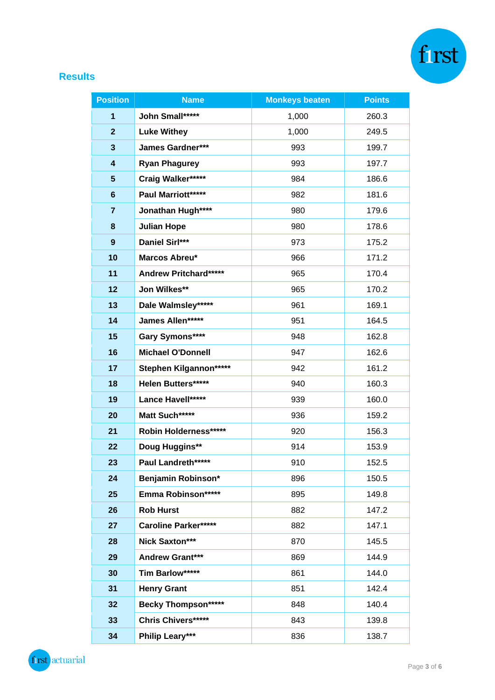

# **Results**

| <b>Position</b>         | <b>Name</b>                  | <b>Monkeys beaten</b> | <b>Points</b> |
|-------------------------|------------------------------|-----------------------|---------------|
| 1                       | John Small*****              | 1,000                 | 260.3         |
| $\mathbf{2}$            | <b>Luke Withey</b>           | 1,000                 | 249.5         |
| $\mathbf{3}$            | <b>James Gardner***</b>      | 993                   | 199.7         |
| $\overline{\mathbf{4}}$ | <b>Ryan Phagurey</b>         | 993                   | 197.7         |
| 5                       | Craig Walker*****            | 984                   | 186.6         |
| $6\phantom{1}6$         | Paul Marriott*****           | 982                   | 181.6         |
| $\overline{\mathbf{7}}$ | Jonathan Hugh****            | 980                   | 179.6         |
| 8                       | <b>Julian Hope</b>           | 980                   | 178.6         |
| 9                       | Daniel Sirl***               | 973                   | 175.2         |
| 10                      | Marcos Abreu*                | 966                   | 171.2         |
| 11                      | <b>Andrew Pritchard*****</b> | 965                   | 170.4         |
| 12                      | Jon Wilkes**                 | 965                   | 170.2         |
| 13                      | Dale Walmsley*****           | 961                   | 169.1         |
| 14                      | James Allen*****             | 951                   | 164.5         |
| 15                      | Gary Symons****              | 948                   | 162.8         |
| 16                      | <b>Michael O'Donnell</b>     | 947                   | 162.6         |
| 17                      | Stephen Kilgannon*****       | 942                   | 161.2         |
| 18                      | Helen Butters*****           | 940                   | 160.3         |
| 19                      | Lance Havell*****            | 939                   | 160.0         |
| 20                      | Matt Such******              | 936                   | 159.2         |
| 21                      | Robin Holderness******       | 920                   | 156.3         |
| 22                      | <b>Doug Huggins**</b>        | 914                   | 153.9         |
| 23                      | Paul Landreth*****           | 910                   | 152.5         |
| 24                      | Benjamin Robinson*           | 896                   | 150.5         |
| 25                      | Emma Robinson******          | 895                   | 149.8         |
| 26                      | <b>Rob Hurst</b>             | 882                   | 147.2         |
| 27                      | <b>Caroline Parker*****</b>  | 882                   | 147.1         |
| 28                      | Nick Saxton***               | 870                   | 145.5         |
| 29                      | <b>Andrew Grant***</b>       | 869                   | 144.9         |
| 30                      | Tim Barlow*****              | 861                   | 144.0         |
| 31                      | <b>Henry Grant</b>           | 851                   | 142.4         |
| 32                      | <b>Becky Thompson*****</b>   | 848                   | 140.4         |
| 33                      | <b>Chris Chivers*****</b>    | 843                   | 139.8         |
| 34                      | Philip Leary***              | 836                   | 138.7         |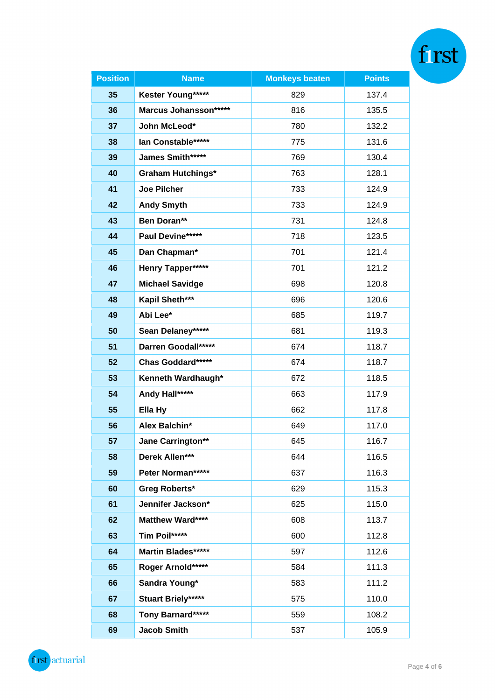| <b>Position</b> | <b>Name</b>               | <b>Monkeys beaten</b> | <b>Points</b> |  |
|-----------------|---------------------------|-----------------------|---------------|--|
| 35              | Kester Young*****         | 829                   | 137.4         |  |
| 36              | Marcus Johansson*****     | 816                   | 135.5         |  |
| 37              | John McLeod*              | 780                   | 132.2         |  |
| 38              | lan Constable*****        | 775                   | 131.6         |  |
| 39              | James Smith*****          | 769                   | 130.4         |  |
| 40              | <b>Graham Hutchings*</b>  | 763                   | 128.1         |  |
| 41              | <b>Joe Pilcher</b>        | 733                   | 124.9         |  |
| 42              | <b>Andy Smyth</b>         | 733                   | 124.9         |  |
| 43              | Ben Doran**               | 731                   | 124.8         |  |
| 44              | Paul Devine*****          | 718                   | 123.5         |  |
| 45              | Dan Chapman*              | 701                   | 121.4         |  |
| 46              | Henry Tapper*****         | 701                   | 121.2         |  |
| 47              | <b>Michael Savidge</b>    | 698                   | 120.8         |  |
| 48              | Kapil Sheth***            | 696                   | 120.6         |  |
| 49              | Abi Lee*                  | 685                   | 119.7         |  |
| 50              | Sean Delaney*****         | 681                   | 119.3         |  |
| 51              | Darren Goodall*****       | 674                   | 118.7         |  |
| 52              | Chas Goddard*****         | 674                   | 118.7         |  |
| 53              | Kenneth Wardhaugh*        | 672                   | 118.5         |  |
| 54              | Andy Hall*****            | 663                   | 117.9         |  |
| 55              | Ella Hy                   | 662                   | 117.8         |  |
| 56              | Alex Balchin*             | 649                   | 117.0         |  |
| 57              | <b>Jane Carrington**</b>  | 645                   | 116.7         |  |
| 58              | Derek Allen***            | 644                   | 116.5         |  |
| 59              | Peter Norman*****         | 637                   | 116.3         |  |
| 60              | <b>Greg Roberts*</b>      | 629                   | 115.3         |  |
| 61              | Jennifer Jackson*         | 625                   | 115.0         |  |
| 62              | Matthew Ward****          | 608                   | 113.7         |  |
| 63              | Tim Poil*****             | 600                   | 112.8         |  |
| 64              | Martin Blades*****        | 597                   | 112.6         |  |
| 65              | Roger Arnold*****         | 584                   | 111.3         |  |
| 66              | Sandra Young*             | 583                   | 111.2         |  |
| 67              | <b>Stuart Briely*****</b> | 575                   | 110.0         |  |
| 68              | Tony Barnard*****         | 559                   | 108.2         |  |
| 69              | <b>Jacob Smith</b>        | 537                   | 105.9         |  |

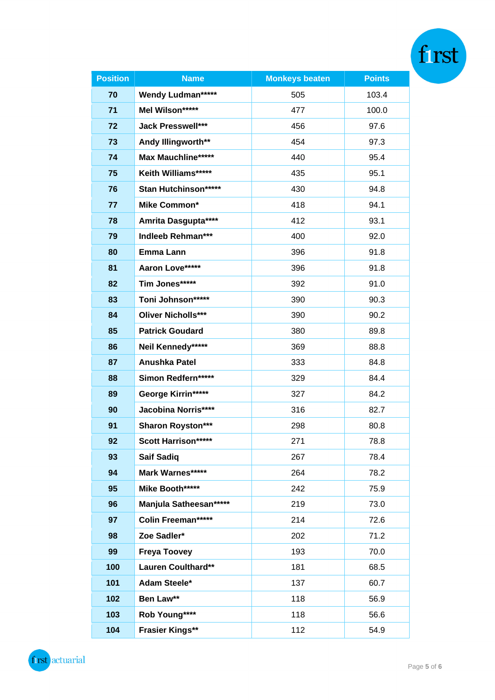| <b>Position</b> | <b>Name</b>                | <b>Monkeys beaten</b> | <b>Points</b> |  |
|-----------------|----------------------------|-----------------------|---------------|--|
| 70              | <b>Wendy Ludman*****</b>   | 505                   | 103.4         |  |
| 71              | Mel Wilson*****            | 477                   | 100.0         |  |
| 72              | <b>Jack Presswell***</b>   | 456                   | 97.6          |  |
| 73              | Andy Illingworth**         | 454                   | 97.3          |  |
| 74              | <b>Max Mauchline*****</b>  | 440                   | 95.4          |  |
| 75              | Keith Williams*****        | 435                   | 95.1          |  |
| 76              | Stan Hutchinson******      | 430                   | 94.8          |  |
| 77              | <b>Mike Common*</b>        | 418                   | 94.1          |  |
| 78              | Amrita Dasgupta****        | 412                   | 93.1          |  |
| 79              | <b>Indleeb Rehman***</b>   | 400                   | 92.0          |  |
| 80              | Emma Lann                  | 396                   | 91.8          |  |
| 81              | Aaron Love*****            | 396                   | 91.8          |  |
| 82              | Tim Jones*****             | 392                   | 91.0          |  |
| 83              | Toni Johnson*****          | 390                   | 90.3          |  |
| 84              | <b>Oliver Nicholls***</b>  | 390                   | 90.2          |  |
| 85              | <b>Patrick Goudard</b>     | 380                   | 89.8          |  |
| 86              | Neil Kennedy*****          | 369                   | 88.8          |  |
| 87              | Anushka Patel              | 333                   | 84.8          |  |
| 88              | Simon Redfern*****         | 329                   | 84.4          |  |
| 89              | George Kirrin*****         | 327                   | 84.2          |  |
| 90              | <b>Jacobina Norris****</b> | 316                   | 82.7          |  |
| 91              | <b>Sharon Royston***</b>   | 298                   | 80.8          |  |
| 92              | Scott Harrison*****        | 271                   | 78.8          |  |
| 93              | <b>Saif Sadiq</b>          | 267                   | 78.4          |  |
| 94              | Mark Warnes*****           | 264                   | 78.2          |  |
| 95              | Mike Booth*****            | 242                   | 75.9          |  |
| 96              | Manjula Satheesan******    | 219                   | 73.0          |  |
| 97              | Colin Freeman*****         | 214                   | 72.6          |  |
| 98              | Zoe Sadler*                | 202                   | 71.2          |  |
| 99              | <b>Freya Toovey</b>        | 193                   | 70.0          |  |
| 100             | Lauren Coulthard**         | 181                   | 68.5          |  |
| 101             | Adam Steele*               | 137                   | 60.7          |  |
| 102             | Ben Law**                  | 118                   | 56.9          |  |
| 103             | Rob Young****              | 118                   | 56.6          |  |
| 104             | <b>Frasier Kings**</b>     | 112                   | 54.9          |  |